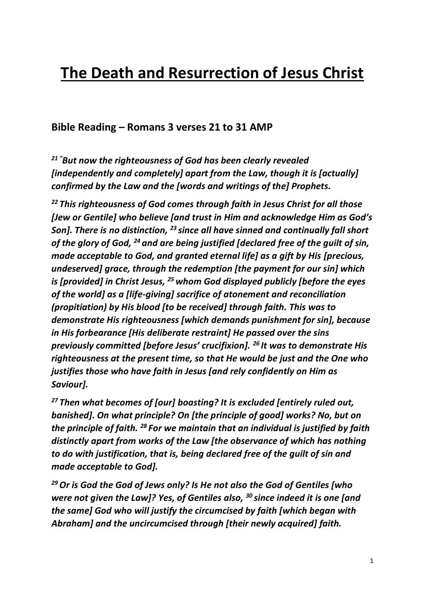# **The Death and Resurrection of Jesus Christ**

**Bible Reading – Romans 3 verses 21 to 31 AMP**

*<sup>21</sup> "But now the righteousness of God has been clearly revealed [independently and completely] apart from the Law, though it is [actually] confirmed by the Law and the [words and writings of the] Prophets.*

*<sup>22</sup> This righteousness of God comes through faith in Jesus Christ for all those [Jew or Gentile] who believe [and trust in Him and acknowledge Him as God's Son]. There is no distinction, <sup>23</sup> since all have sinned and continually fall short of the glory of God, <sup>24</sup> and are being justified [declared free of the guilt of sin, made acceptable to God, and granted eternal life] as a gift by His [precious, undeserved] grace, through the redemption [the payment for our sin] which is [provided] in Christ Jesus, <sup>25</sup> whom God displayed publicly [before the eyes of the world] as a [life-giving] sacrifice of atonement and reconciliation (propitiation) by His blood [to be received] through faith. This was to demonstrate His righteousness [which demands punishment for sin], because in His forbearance [His deliberate restraint] He passed over the sins previously committed [before Jesus' crucifixion]. <sup>26</sup> It was to demonstrate His righteousness at the present time, so that He would be just and the One who justifies those who have faith in Jesus [and rely confidently on Him as Saviour].*

*<sup>27</sup> Then what becomes of [our] boasting? It is excluded [entirely ruled out, banished]. On what principle? On [the principle of good] works? No, but on the principle of faith. <sup>28</sup> For we maintain that an individual is justified by faith distinctly apart from works of the Law [the observance of which has nothing to do with justification, that is, being declared free of the guilt of sin and made acceptable to God].*

*<sup>29</sup>Or is God the God of Jews only? Is He not also the God of Gentiles [who were not given the Law]? Yes, of Gentiles also, <sup>30</sup> since indeed it is one [and the same] God who will justify the circumcised by faith [which began with Abraham] and the uncircumcised through [their newly acquired] faith.*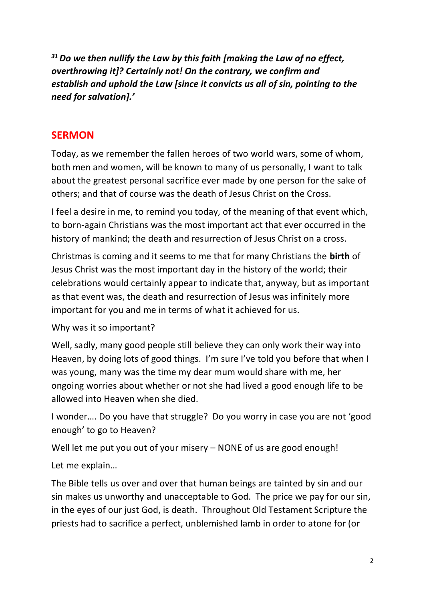*<sup>31</sup>Do we then nullify the Law by this faith [making the Law of no effect, overthrowing it]? Certainly not! On the contrary, we confirm and establish and uphold the Law [since it convicts us all of sin, pointing to the need for salvation].'*

#### **SERMON**

Today, as we remember the fallen heroes of two world wars, some of whom, both men and women, will be known to many of us personally, I want to talk about the greatest personal sacrifice ever made by one person for the sake of others; and that of course was the death of Jesus Christ on the Cross.

I feel a desire in me, to remind you today, of the meaning of that event which, to born-again Christians was the most important act that ever occurred in the history of mankind; the death and resurrection of Jesus Christ on a cross.

Christmas is coming and it seems to me that for many Christians the **birth** of Jesus Christ was the most important day in the history of the world; their celebrations would certainly appear to indicate that, anyway, but as important as that event was, the death and resurrection of Jesus was infinitely more important for you and me in terms of what it achieved for us.

Why was it so important?

Well, sadly, many good people still believe they can only work their way into Heaven, by doing lots of good things. I'm sure I've told you before that when I was young, many was the time my dear mum would share with me, her ongoing worries about whether or not she had lived a good enough life to be allowed into Heaven when she died.

I wonder…. Do you have that struggle? Do you worry in case you are not 'good enough' to go to Heaven?

Well let me put you out of your misery – NONE of us are good enough!

Let me explain…

The Bible tells us over and over that human beings are tainted by sin and our sin makes us unworthy and unacceptable to God. The price we pay for our sin, in the eyes of our just God, is death. Throughout Old Testament Scripture the priests had to sacrifice a perfect, unblemished lamb in order to atone for (or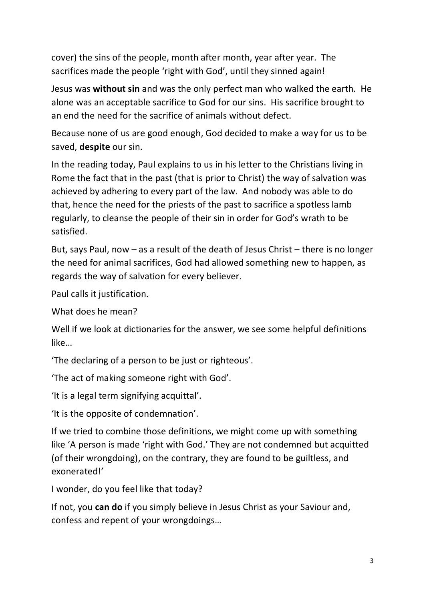cover) the sins of the people, month after month, year after year. The sacrifices made the people 'right with God', until they sinned again!

Jesus was **without sin** and was the only perfect man who walked the earth. He alone was an acceptable sacrifice to God for our sins. His sacrifice brought to an end the need for the sacrifice of animals without defect.

Because none of us are good enough, God decided to make a way for us to be saved, **despite** our sin.

In the reading today, Paul explains to us in his letter to the Christians living in Rome the fact that in the past (that is prior to Christ) the way of salvation was achieved by adhering to every part of the law. And nobody was able to do that, hence the need for the priests of the past to sacrifice a spotless lamb regularly, to cleanse the people of their sin in order for God's wrath to be satisfied.

But, says Paul, now – as a result of the death of Jesus Christ – there is no longer the need for animal sacrifices, God had allowed something new to happen, as regards the way of salvation for every believer.

Paul calls it justification.

What does he mean?

Well if we look at dictionaries for the answer, we see some helpful definitions like…

'The declaring of a person to be just or righteous'.

'The act of making someone right with God'.

'It is a legal term signifying acquittal'.

'It is the opposite of condemnation'.

If we tried to combine those definitions, we might come up with something like 'A person is made 'right with God.' They are not condemned but acquitted (of their wrongdoing), on the contrary, they are found to be guiltless, and exonerated!'

I wonder, do you feel like that today?

If not, you **can do** if you simply believe in Jesus Christ as your Saviour and, confess and repent of your wrongdoings…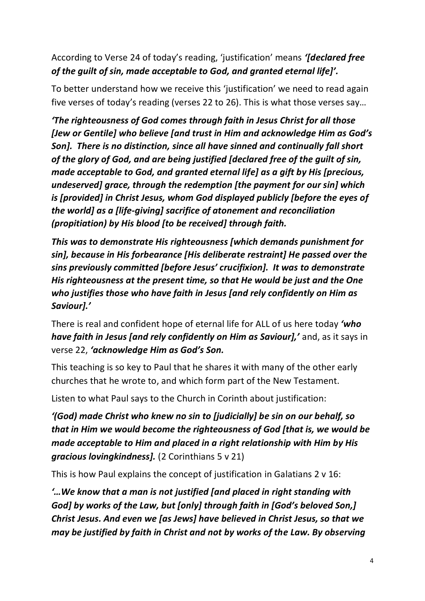#### According to Verse 24 of today's reading, 'justification' means *'[declared free of the guilt of sin, made acceptable to God, and granted eternal life]'.*

To better understand how we receive this 'justification' we need to read again five verses of today's reading (verses 22 to 26). This is what those verses say…

*'The righteousness of God comes through faith in Jesus Christ for all those [Jew or Gentile] who believe [and trust in Him and acknowledge Him as God's Son]. There is no distinction, since all have sinned and continually fall short of the glory of God, and are being justified [declared free of the guilt of sin, made acceptable to God, and granted eternal life] as a gift by His [precious, undeserved] grace, through the redemption [the payment for our sin] which is [provided] in Christ Jesus, whom God displayed publicly [before the eyes of the world] as a [life-giving] sacrifice of atonement and reconciliation (propitiation) by His blood [to be received] through faith.*

*This was to demonstrate His righteousness [which demands punishment for sin], because in His forbearance [His deliberate restraint] He passed over the sins previously committed [before Jesus' crucifixion]. It was to demonstrate His righteousness at the present time, so that He would be just and the One who justifies those who have faith in Jesus [and rely confidently on Him as Saviour].'*

There is real and confident hope of eternal life for ALL of us here today *'who have faith in Jesus [and rely confidently on Him as Saviour],'* and, as it says in verse 22, *'acknowledge Him as God's Son.*

This teaching is so key to Paul that he shares it with many of the other early churches that he wrote to, and which form part of the New Testament.

Listen to what Paul says to the Church in Corinth about justification:

*'(God) made Christ who knew no sin to [judicially] be sin on our behalf, so that in Him we would become the righteousness of God [that is, we would be made acceptable to Him and placed in a right relationship with Him by His gracious lovingkindness].* (2 Corinthians 5 v 21)

This is how Paul explains the concept of justification in Galatians 2 v 16:

*'…We know that a man is not justified [and placed in right standing with God] by works of the Law, but [only] through faith in [God's beloved Son,] Christ Jesus. And even we [as Jews] have believed in Christ Jesus, so that we may be justified by faith in Christ and not by works of the Law. By observing*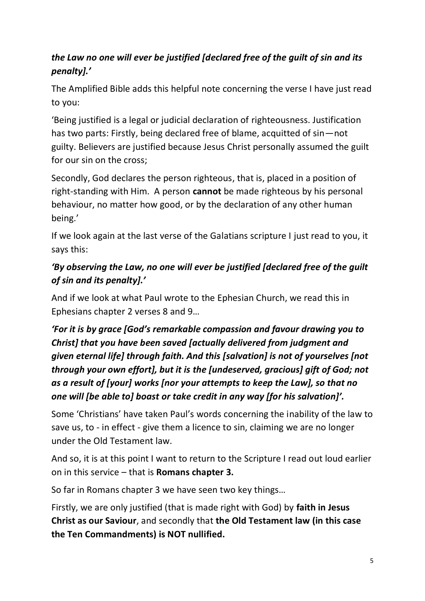### *the Law no one will ever be justified [declared free of the guilt of sin and its penalty].'*

The Amplified Bible adds this helpful note concerning the verse I have just read to you:

'Being justified is a legal or judicial declaration of righteousness. Justification has two parts: Firstly, being declared free of blame, acquitted of sin—not guilty. Believers are justified because Jesus Christ personally assumed the guilt for our sin on the cross;

Secondly, God declares the person righteous, that is, placed in a position of right-standing with Him. A person **cannot** be made righteous by his personal behaviour, no matter how good, or by the declaration of any other human being.'

If we look again at the last verse of the Galatians scripture I just read to you, it says this:

## *'By observing the Law, no one will ever be justified [declared free of the guilt of sin and its penalty].'*

And if we look at what Paul wrote to the Ephesian Church, we read this in Ephesians chapter 2 verses 8 and 9…

# *'For it is by grace [God's remarkable compassion and favour drawing you to Christ] that you have been saved [actually delivered from judgment and given eternal life] through faith. And this [salvation] is not of yourselves [not through your own effort], but it is the [undeserved, gracious] gift of God; not as a result of [your] works [nor your attempts to keep the Law], so that no one will [be able to] boast or take credit in any way [for his salvation]'.*

Some 'Christians' have taken Paul's words concerning the inability of the law to save us, to - in effect - give them a licence to sin, claiming we are no longer under the Old Testament law.

And so, it is at this point I want to return to the Scripture I read out loud earlier on in this service – that is **Romans chapter 3.**

So far in Romans chapter 3 we have seen two key things…

Firstly, we are only justified (that is made right with God) by **faith in Jesus Christ as our Saviour**, and secondly that **the Old Testament law (in this case the Ten Commandments) is NOT nullified.**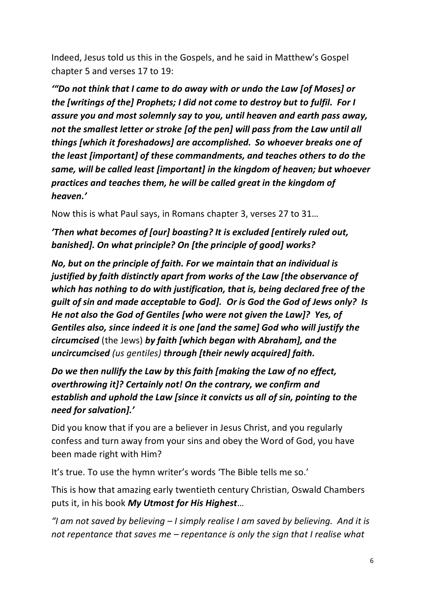Indeed, Jesus told us this in the Gospels, and he said in Matthew's Gospel chapter 5 and verses 17 to 19:

*'"Do not think that I came to do away with or undo the Law [of Moses] or the [writings of the] Prophets; I did not come to destroy but to fulfil. For I assure you and most solemnly say to you, until heaven and earth pass away, not the smallest letter or stroke [of the pen] will pass from the Law until all things [which it foreshadows] are accomplished. So whoever breaks one of the least [important] of these commandments, and teaches others to do the same, will be called least [important] in the kingdom of heaven; but whoever practices and teaches them, he will be called great in the kingdom of heaven.'*

Now this is what Paul says, in Romans chapter 3, verses 27 to 31…

*'Then what becomes of [our] boasting? It is excluded [entirely ruled out, banished]. On what principle? On [the principle of good] works?* 

*No, but on the principle of faith. For we maintain that an individual is justified by faith distinctly apart from works of the Law [the observance of which has nothing to do with justification, that is, being declared free of the guilt of sin and made acceptable to God]. Or is God the God of Jews only? Is He not also the God of Gentiles [who were not given the Law]? Yes, of Gentiles also, since indeed it is one [and the same] God who will justify the circumcised* (the Jews) *by faith [which began with Abraham], and the uncircumcised (us gentiles) through [their newly acquired] faith.*

*Do we then nullify the Law by this faith [making the Law of no effect, overthrowing it]? Certainly not! On the contrary, we confirm and establish and uphold the Law [since it convicts us all of sin, pointing to the need for salvation].'*

Did you know that if you are a believer in Jesus Christ, and you regularly confess and turn away from your sins and obey the Word of God, you have been made right with Him?

It's true. To use the hymn writer's words 'The Bible tells me so.'

This is how that amazing early twentieth century Christian, Oswald Chambers puts it, in his book *My Utmost for His Highest*…

*"I am not saved by believing – I simply realise I am saved by believing. And it is not repentance that saves me – repentance is only the sign that I realise what*